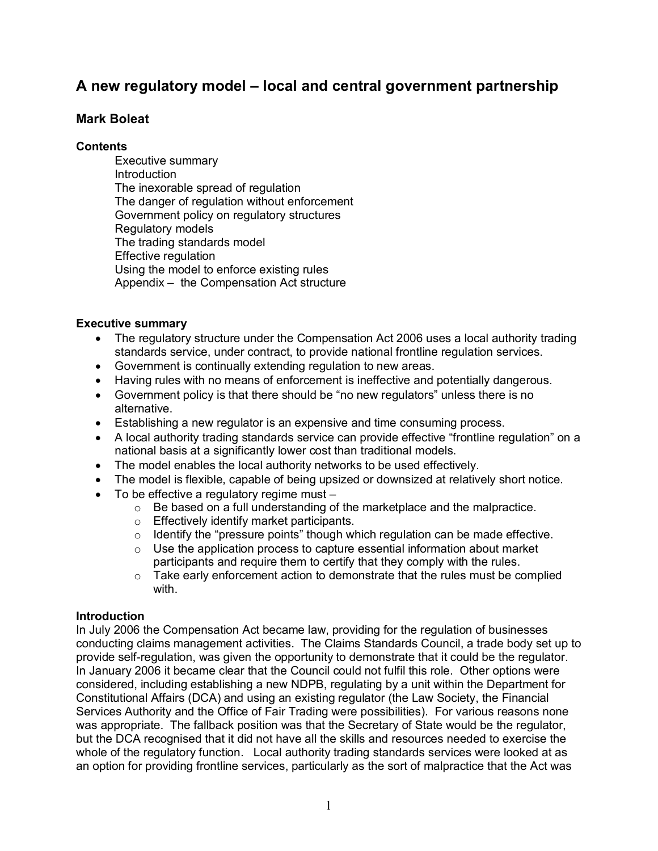# **A new regulatory model – local and central government partnership**

### **Mark Boleat**

#### **Contents**

Executive summary Introduction The inexorable spread of regulation The danger of regulation without enforcement Government policy on regulatory structures Regulatory models The trading standards model Effective regulation Using the model to enforce existing rules Appendix – the Compensation Act structure

#### **Executive summary**

- The regulatory structure under the Compensation Act 2006 uses a local authority trading standards service, under contract, to provide national frontline regulation services.
- · Government is continually extending regulation to new areas.
- · Having rules with no means of enforcement is ineffective and potentially dangerous.
- · Government policy is that there should be "no new regulators" unless there is no alternative.
- Establishing a new regulator is an expensive and time consuming process.
- · A local authority trading standards service can provide effective "frontline regulation" on a national basis at a significantly lower cost than traditional models.
- · The model enables the local authority networks to be used effectively.
- The model is flexible, capable of being upsized or downsized at relatively short notice.
- To be effective a regulatory regime must -
	- $\circ$  Be based on a full understanding of the marketplace and the malpractice.
	- o Effectively identify market participants.
	- o Identify the "pressure points" though which regulation can be made effective.
	- $\circ$  Use the application process to capture essential information about market participants and require them to certify that they comply with the rules.
	- $\circ$  Take early enforcement action to demonstrate that the rules must be complied with.

### **Introduction**

In July 2006 the Compensation Act became law, providing for the regulation of businesses conducting claims management activities. The Claims Standards Council, a trade body set up to provide self-regulation, was given the opportunity to demonstrate that it could be the regulator. In January 2006 it became clear that the Council could not fulfil this role. Other options were considered, including establishing a new NDPB, regulating by a unit within the Department for Constitutional Affairs (DCA) and using an existing regulator (the Law Society, the Financial Services Authority and the Office of Fair Trading were possibilities). For various reasons none was appropriate. The fallback position was that the Secretary of State would be the regulator, but the DCA recognised that it did not have all the skills and resources needed to exercise the whole of the regulatory function. Local authority trading standards services were looked at as an option for providing frontline services, particularly as the sort of malpractice that the Act was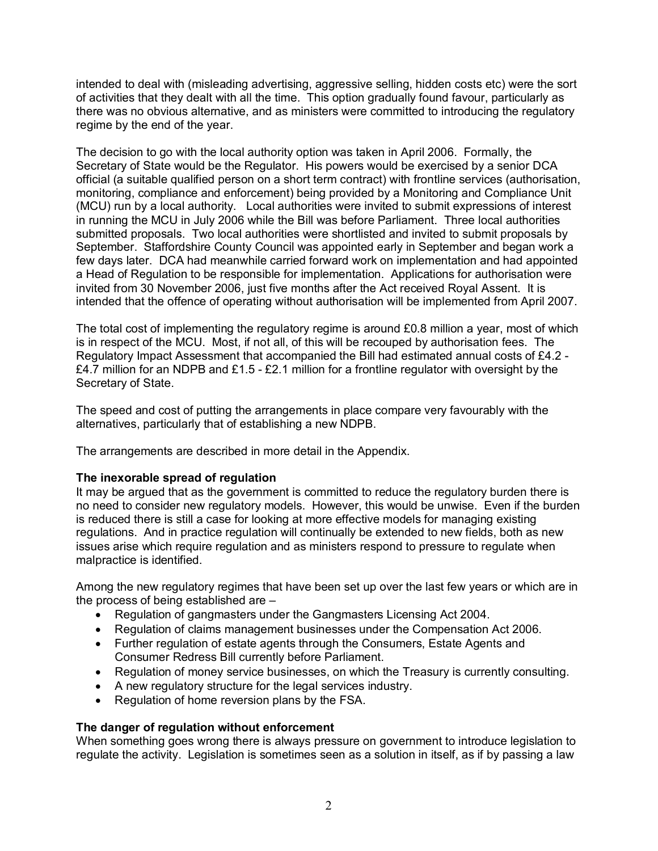intended to deal with (misleading advertising, aggressive selling, hidden costs etc) were the sort of activities that they dealt with all the time. This option gradually found favour, particularly as there was no obvious alternative, and as ministers were committed to introducing the regulatory regime by the end of the year.

The decision to go with the local authority option was taken in April 2006. Formally, the Secretary of State would be the Regulator. His powers would be exercised by a senior DCA official (a suitable qualified person on a short term contract) with frontline services (authorisation, monitoring, compliance and enforcement) being provided by a Monitoring and Compliance Unit (MCU) run by a local authority. Local authorities were invited to submit expressions of interest in running the MCU in July 2006 while the Bill was before Parliament. Three local authorities submitted proposals. Two local authorities were shortlisted and invited to submit proposals by September. Staffordshire County Council was appointed early in September and began work a few days later. DCA had meanwhile carried forward work on implementation and had appointed a Head of Regulation to be responsible for implementation. Applications for authorisation were invited from 30 November 2006, just five months after the Act received Royal Assent. It is intended that the offence of operating without authorisation will be implemented from April 2007.

The total cost of implementing the regulatory regime is around £0.8 million a year, most of which is in respect of the MCU. Most, if not all, of this will be recouped by authorisation fees. The Regulatory Impact Assessment that accompanied the Bill had estimated annual costs of £4.2 - £4.7 million for an NDPB and £1.5 - £2.1 million for a frontline regulator with oversight by the Secretary of State.

The speed and cost of putting the arrangements in place compare very favourably with the alternatives, particularly that of establishing a new NDPB.

The arrangements are described in more detail in the Appendix.

### **The inexorable spread of regulation**

It may be argued that as the government is committed to reduce the regulatory burden there is no need to consider new regulatory models. However, this would be unwise. Even if the burden is reduced there is still a case for looking at more effective models for managing existing regulations. And in practice regulation will continually be extended to new fields, both as new issues arise which require regulation and as ministers respond to pressure to regulate when malpractice is identified.

Among the new regulatory regimes that have been set up over the last few years or which are in the process of being established are –

- · Regulation of gangmasters under the Gangmasters Licensing Act 2004.
- · Regulation of claims management businesses under the Compensation Act 2006.
- · Further regulation of estate agents through the Consumers, Estate Agents and Consumer Redress Bill currently before Parliament.
- Regulation of money service businesses, on which the Treasury is currently consulting.
- · A new regulatory structure for the legal services industry.
- Regulation of home reversion plans by the FSA.

### **The danger of regulation without enforcement**

When something goes wrong there is always pressure on government to introduce legislation to regulate the activity. Legislation is sometimes seen as a solution in itself, as if by passing a law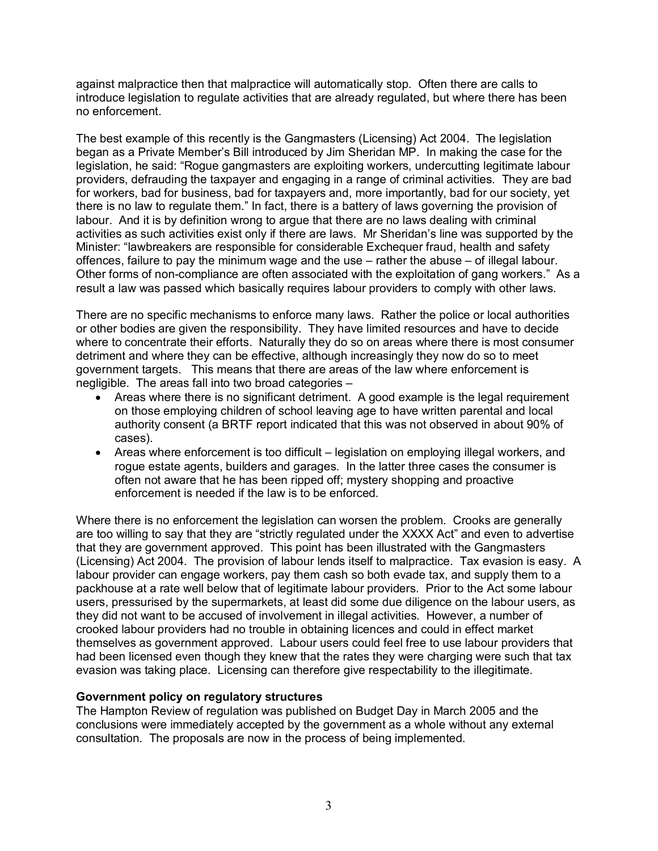against malpractice then that malpractice will automatically stop. Often there are calls to introduce legislation to regulate activities that are already regulated, but where there has been no enforcement.

The best example of this recently is the Gangmasters (Licensing) Act 2004. The legislation began as a Private Member's Bill introduced by Jim Sheridan MP. In making the case for the legislation, he said: "Rogue gangmasters are exploiting workers, undercutting legitimate labour providers, defrauding the taxpayer and engaging in a range of criminal activities. They are bad for workers, bad for business, bad for taxpayers and, more importantly, bad for our society, yet there is no law to regulate them." In fact, there is a battery of laws governing the provision of labour. And it is by definition wrong to argue that there are no laws dealing with criminal activities as such activities exist only if there are laws. Mr Sheridan's line was supported by the Minister: "lawbreakers are responsible for considerable Exchequer fraud, health and safety offences, failure to pay the minimum wage and the use – rather the abuse – of illegal labour. Other forms of non-compliance are often associated with the exploitation of gang workers." As a result a law was passed which basically requires labour providers to comply with other laws.

There are no specific mechanisms to enforce many laws. Rather the police or local authorities or other bodies are given the responsibility. They have limited resources and have to decide where to concentrate their efforts. Naturally they do so on areas where there is most consumer detriment and where they can be effective, although increasingly they now do so to meet government targets. This means that there are areas of the law where enforcement is negligible. The areas fall into two broad categories –

- Areas where there is no significant detriment. A good example is the legal requirement on those employing children of school leaving age to have written parental and local authority consent (a BRTF report indicated that this was not observed in about 90% of cases).
- · Areas where enforcement is too difficult legislation on employing illegal workers, and rogue estate agents, builders and garages. In the latter three cases the consumer is often not aware that he has been ripped off; mystery shopping and proactive enforcement is needed if the law is to be enforced.

Where there is no enforcement the legislation can worsen the problem. Crooks are generally are too willing to say that they are "strictly regulated under the XXXX Act" and even to advertise that they are government approved. This point has been illustrated with the Gangmasters (Licensing) Act 2004. The provision of labour lends itself to malpractice. Tax evasion is easy. A labour provider can engage workers, pay them cash so both evade tax, and supply them to a packhouse at a rate well below that of legitimate labour providers. Prior to the Act some labour users, pressurised by the supermarkets, at least did some due diligence on the labour users, as they did not want to be accused of involvement in illegal activities. However, a number of crooked labour providers had no trouble in obtaining licences and could in effect market themselves as government approved. Labour users could feel free to use labour providers that had been licensed even though they knew that the rates they were charging were such that tax evasion was taking place. Licensing can therefore give respectability to the illegitimate.

### **Government policy on regulatory structures**

The Hampton Review of regulation was published on Budget Day in March 2005 and the conclusions were immediately accepted by the government as a whole without any external consultation. The proposals are now in the process of being implemented.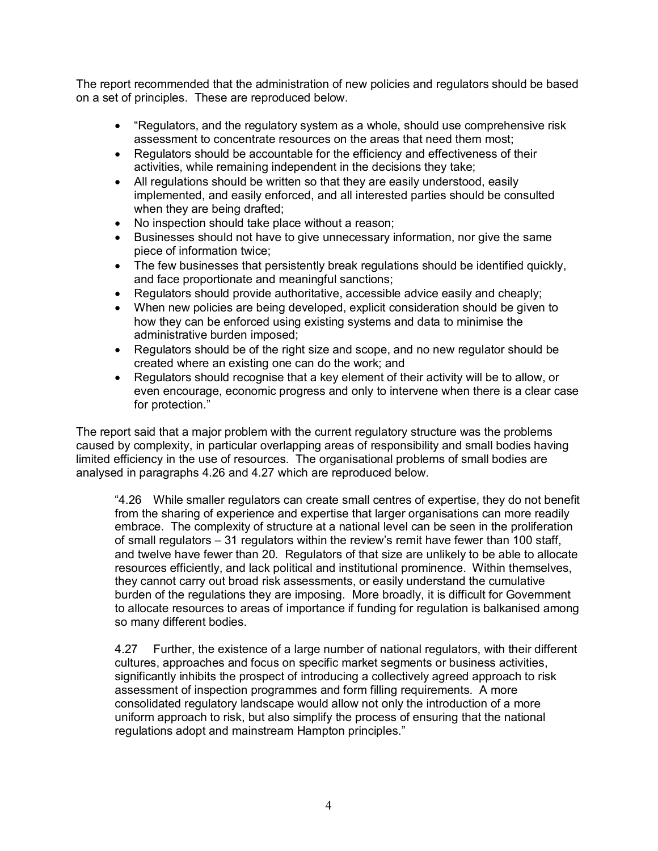The report recommended that the administration of new policies and regulators should be based on a set of principles. These are reproduced below.

- · "Regulators, and the regulatory system as a whole, should use comprehensive risk assessment to concentrate resources on the areas that need them most;
- · Regulators should be accountable for the efficiency and effectiveness of their activities, while remaining independent in the decisions they take;
- · All regulations should be written so that they are easily understood, easily implemented, and easily enforced, and all interested parties should be consulted when they are being drafted;
- · No inspection should take place without a reason;
- · Businesses should not have to give unnecessary information, nor give the same piece of information twice;
- · The few businesses that persistently break regulations should be identified quickly, and face proportionate and meaningful sanctions;
- · Regulators should provide authoritative, accessible advice easily and cheaply;
- · When new policies are being developed, explicit consideration should be given to how they can be enforced using existing systems and data to minimise the administrative burden imposed;
- · Regulators should be of the right size and scope, and no new regulator should be created where an existing one can do the work; and
- Regulators should recognise that a key element of their activity will be to allow, or even encourage, economic progress and only to intervene when there is a clear case for protection."

The report said that a major problem with the current regulatory structure was the problems caused by complexity, in particular overlapping areas of responsibility and small bodies having limited efficiency in the use of resources. The organisational problems of small bodies are analysed in paragraphs 4.26 and 4.27 which are reproduced below.

"4.26 While smaller regulators can create small centres of expertise, they do not benefit from the sharing of experience and expertise that larger organisations can more readily embrace. The complexity of structure at a national level can be seen in the proliferation of small regulators – 31 regulators within the review's remit have fewer than 100 staff, and twelve have fewer than 20. Regulators of that size are unlikely to be able to allocate resources efficiently, and lack political and institutional prominence. Within themselves, they cannot carry out broad risk assessments, or easily understand the cumulative burden of the regulations they are imposing. More broadly, it is difficult for Government to allocate resources to areas of importance if funding for regulation is balkanised among so many different bodies.

4.27 Further, the existence of a large number of national regulators, with their different cultures, approaches and focus on specific market segments or business activities, significantly inhibits the prospect of introducing a collectively agreed approach to risk assessment of inspection programmes and form filling requirements. A more consolidated regulatory landscape would allow not only the introduction of a more uniform approach to risk, but also simplify the process of ensuring that the national regulations adopt and mainstream Hampton principles."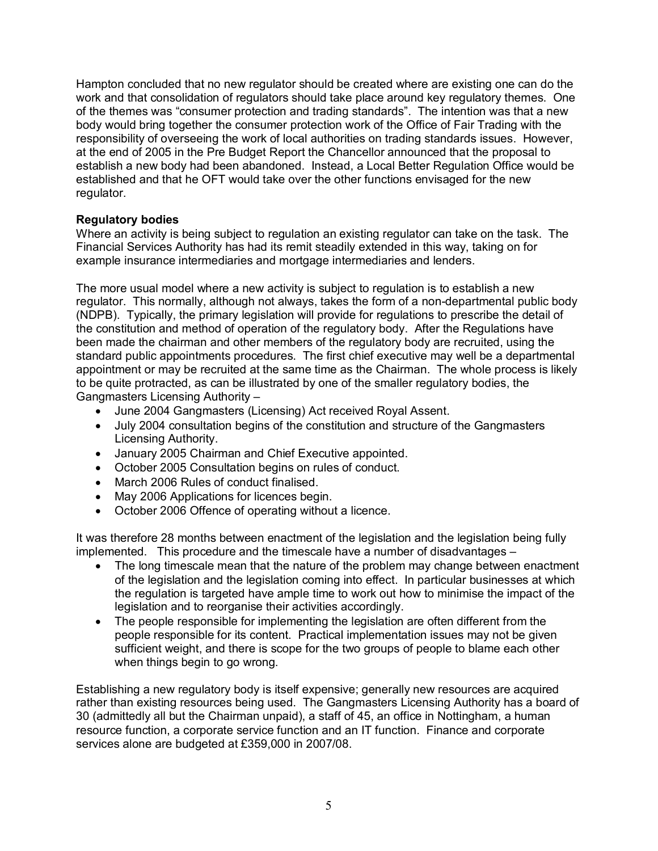Hampton concluded that no new regulator should be created where are existing one can do the work and that consolidation of regulators should take place around key regulatory themes. One of the themes was "consumer protection and trading standards". The intention was that a new body would bring together the consumer protection work of the Office of Fair Trading with the responsibility of overseeing the work of local authorities on trading standards issues. However, at the end of 2005 in the Pre Budget Report the Chancellor announced that the proposal to establish a new body had been abandoned. Instead, a Local Better Regulation Office would be established and that he OFT would take over the other functions envisaged for the new regulator.

### **Regulatory bodies**

Where an activity is being subject to regulation an existing regulator can take on the task. The Financial Services Authority has had its remit steadily extended in this way, taking on for example insurance intermediaries and mortgage intermediaries and lenders.

The more usual model where a new activity is subject to regulation is to establish a new regulator. This normally, although not always, takes the form of a non-departmental public body (NDPB). Typically, the primary legislation will provide for regulations to prescribe the detail of the constitution and method of operation of the regulatory body. After the Regulations have been made the chairman and other members of the regulatory body are recruited, using the standard public appointments procedures. The first chief executive may well be a departmental appointment or may be recruited at the same time as the Chairman. The whole process is likely to be quite protracted, as can be illustrated by one of the smaller regulatory bodies, the Gangmasters Licensing Authority –

- · June 2004 Gangmasters (Licensing) Act received Royal Assent.
- · July 2004 consultation begins of the constitution and structure of the Gangmasters Licensing Authority.
- · January 2005 Chairman and Chief Executive appointed.
- · October 2005 Consultation begins on rules of conduct.
- · March 2006 Rules of conduct finalised.
- · May 2006 Applications for licences begin.
- · October 2006 Offence of operating without a licence.

It was therefore 28 months between enactment of the legislation and the legislation being fully implemented. This procedure and the timescale have a number of disadvantages –

- The long timescale mean that the nature of the problem may change between enactment of the legislation and the legislation coming into effect. In particular businesses at which the regulation is targeted have ample time to work out how to minimise the impact of the legislation and to reorganise their activities accordingly.
- The people responsible for implementing the legislation are often different from the people responsible for its content. Practical implementation issues may not be given sufficient weight, and there is scope for the two groups of people to blame each other when things begin to go wrong.

Establishing a new regulatory body is itself expensive; generally new resources are acquired rather than existing resources being used. The Gangmasters Licensing Authority has a board of 30 (admittedly all but the Chairman unpaid), a staff of 45, an office in Nottingham, a human resource function, a corporate service function and an IT function. Finance and corporate services alone are budgeted at £359,000 in 2007/08.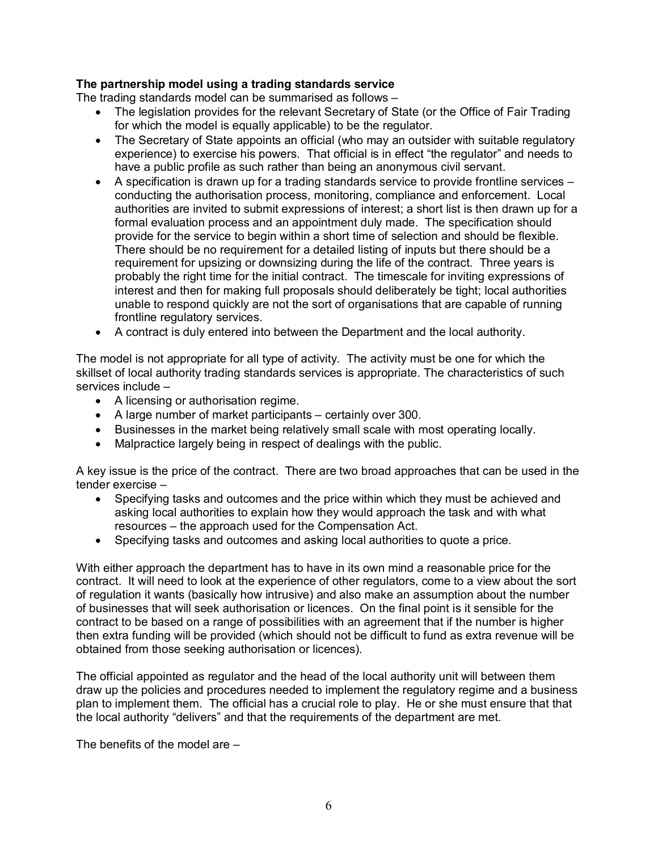### **The partnership model using a trading standards service**

The trading standards model can be summarised as follows –

- · The legislation provides for the relevant Secretary of State (or the Office of Fair Trading for which the model is equally applicable) to be the regulator.
- The Secretary of State appoints an official (who may an outsider with suitable regulatory experience) to exercise his powers. That official is in effect "the regulator" and needs to have a public profile as such rather than being an anonymous civil servant.
- A specification is drawn up for a trading standards service to provide frontline services conducting the authorisation process, monitoring, compliance and enforcement. Local authorities are invited to submit expressions of interest; a short list is then drawn up for a formal evaluation process and an appointment duly made. The specification should provide for the service to begin within a short time of selection and should be flexible. There should be no requirement for a detailed listing of inputs but there should be a requirement for upsizing or downsizing during the life of the contract. Three years is probably the right time for the initial contract. The timescale for inviting expressions of interest and then for making full proposals should deliberately be tight; local authorities unable to respond quickly are not the sort of organisations that are capable of running frontline regulatory services.
- · A contract is duly entered into between the Department and the local authority.

The model is not appropriate for all type of activity. The activity must be one for which the skillset of local authority trading standards services is appropriate. The characteristics of such services include –

- · A licensing or authorisation regime.
- · A large number of market participants certainly over 300.
- · Businesses in the market being relatively small scale with most operating locally.
- · Malpractice largely being in respect of dealings with the public.

A key issue is the price of the contract. There are two broad approaches that can be used in the tender exercise –

- · Specifying tasks and outcomes and the price within which they must be achieved and asking local authorities to explain how they would approach the task and with what resources – the approach used for the Compensation Act.
- Specifying tasks and outcomes and asking local authorities to quote a price.

With either approach the department has to have in its own mind a reasonable price for the contract. It will need to look at the experience of other regulators, come to a view about the sort of regulation it wants (basically how intrusive) and also make an assumption about the number of businesses that will seek authorisation or licences. On the final point is it sensible for the contract to be based on a range of possibilities with an agreement that if the number is higher then extra funding will be provided (which should not be difficult to fund as extra revenue will be obtained from those seeking authorisation or licences).

The official appointed as regulator and the head of the local authority unit will between them draw up the policies and procedures needed to implement the regulatory regime and a business plan to implement them. The official has a crucial role to play. He or she must ensure that that the local authority "delivers" and that the requirements of the department are met.

The benefits of the model are –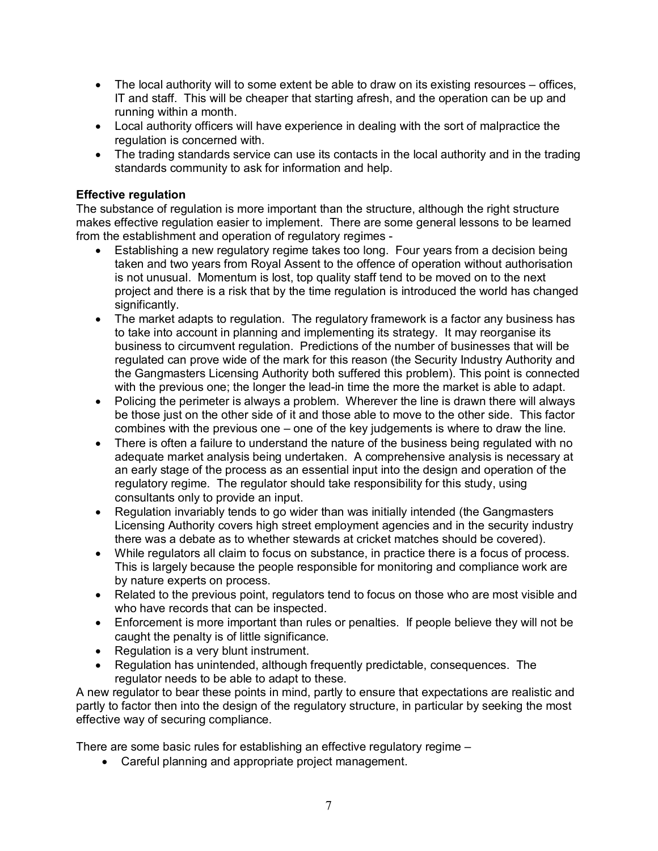- The local authority will to some extent be able to draw on its existing resources offices, IT and staff. This will be cheaper that starting afresh, and the operation can be up and running within a month.
- · Local authority officers will have experience in dealing with the sort of malpractice the regulation is concerned with.
- The trading standards service can use its contacts in the local authority and in the trading standards community to ask for information and help.

### **Effective regulation**

The substance of regulation is more important than the structure, although the right structure makes effective regulation easier to implement. There are some general lessons to be learned from the establishment and operation of regulatory regimes -

- Establishing a new regulatory regime takes too long. Four years from a decision being taken and two years from Royal Assent to the offence of operation without authorisation is not unusual. Momentum is lost, top quality staff tend to be moved on to the next project and there is a risk that by the time regulation is introduced the world has changed significantly.
- The market adapts to regulation. The regulatory framework is a factor any business has to take into account in planning and implementing its strategy. It may reorganise its business to circumvent regulation. Predictions of the number of businesses that will be regulated can prove wide of the mark for this reason (the Security Industry Authority and the Gangmasters Licensing Authority both suffered this problem). This point is connected with the previous one; the longer the lead-in time the more the market is able to adapt.
- · Policing the perimeter is always a problem. Wherever the line is drawn there will always be those just on the other side of it and those able to move to the other side. This factor combines with the previous one – one of the key judgements is where to draw the line.
- There is often a failure to understand the nature of the business being regulated with no adequate market analysis being undertaken. A comprehensive analysis is necessary at an early stage of the process as an essential input into the design and operation of the regulatory regime. The regulator should take responsibility for this study, using consultants only to provide an input.
- · Regulation invariably tends to go wider than was initially intended (the Gangmasters Licensing Authority covers high street employment agencies and in the security industry there was a debate as to whether stewards at cricket matches should be covered).
- · While regulators all claim to focus on substance, in practice there is a focus of process. This is largely because the people responsible for monitoring and compliance work are by nature experts on process.
- · Related to the previous point, regulators tend to focus on those who are most visible and who have records that can be inspected.
- · Enforcement is more important than rules or penalties. If people believe they will not be caught the penalty is of little significance.
- · Regulation is a very blunt instrument.
- Regulation has unintended, although frequently predictable, consequences. The regulator needs to be able to adapt to these.

A new regulator to bear these points in mind, partly to ensure that expectations are realistic and partly to factor then into the design of the regulatory structure, in particular by seeking the most effective way of securing compliance.

There are some basic rules for establishing an effective regulatory regime –

· Careful planning and appropriate project management.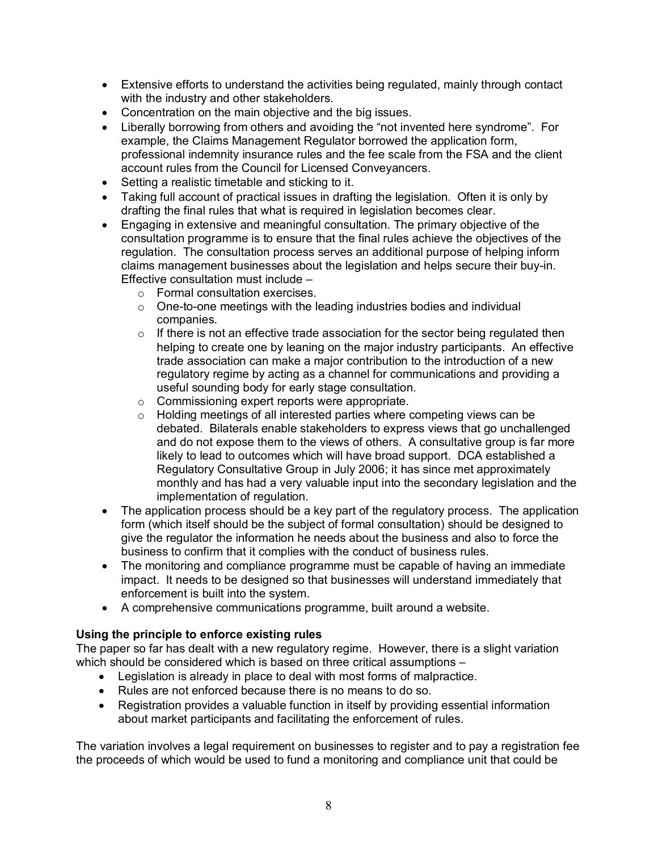- · Extensive efforts to understand the activities being regulated, mainly through contact with the industry and other stakeholders.
- · Concentration on the main objective and the big issues.
- Liberally borrowing from others and avoiding the "not invented here syndrome". For example, the Claims Management Regulator borrowed the application form, professional indemnity insurance rules and the fee scale from the FSA and the client account rules from the Council for Licensed Conveyancers.
- Setting a realistic timetable and sticking to it.
- Taking full account of practical issues in drafting the legislation. Often it is only by drafting the final rules that what is required in legislation becomes clear.
- · Engaging in extensive and meaningful consultation. The primary objective of the consultation programme is to ensure that the final rules achieve the objectives of the regulation. The consultation process serves an additional purpose of helping inform claims management businesses about the legislation and helps secure their buy-in. Effective consultation must include –
	- o Formal consultation exercises.
	- o One-to-one meetings with the leading industries bodies and individual companies.
	- $\circ$  If there is not an effective trade association for the sector being regulated then helping to create one by leaning on the major industry participants. An effective trade association can make a major contribution to the introduction of a new regulatory regime by acting as a channel for communications and providing a useful sounding body for early stage consultation.
	- o Commissioning expert reports were appropriate.
	- o Holding meetings of all interested parties where competing views can be debated. Bilaterals enable stakeholders to express views that go unchallenged and do not expose them to the views of others. A consultative group is far more likely to lead to outcomes which will have broad support. DCA established a Regulatory Consultative Group in July 2006; it has since met approximately monthly and has had a very valuable input into the secondary legislation and the implementation of regulation.
- The application process should be a key part of the regulatory process. The application form (which itself should be the subject of formal consultation) should be designed to give the regulator the information he needs about the business and also to force the business to confirm that it complies with the conduct of business rules.
- · The monitoring and compliance programme must be capable of having an immediate impact. It needs to be designed so that businesses will understand immediately that enforcement is built into the system.
- · A comprehensive communications programme, built around a website.

### **Using the principle to enforce existing rules**

The paper so far has dealt with a new regulatory regime. However, there is a slight variation which should be considered which is based on three critical assumptions -

- · Legislation is already in place to deal with most forms of malpractice.
- · Rules are not enforced because there is no means to do so.
- Registration provides a valuable function in itself by providing essential information about market participants and facilitating the enforcement of rules.

The variation involves a legal requirement on businesses to register and to pay a registration fee the proceeds of which would be used to fund a monitoring and compliance unit that could be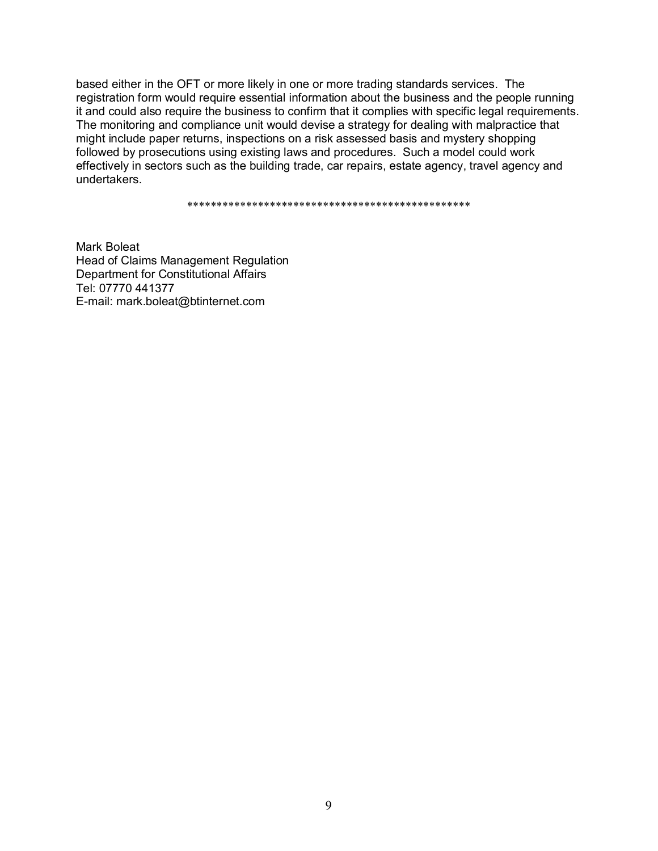based either in the OFT or more likely in one or more trading standards services. The registration form would require essential information about the business and the people running it and could also require the business to confirm that it complies with specific legal requirements. The monitoring and compliance unit would devise a strategy for dealing with malpractice that might include paper returns, inspections on a risk assessed basis and mystery shopping followed by prosecutions using existing laws and procedures. Such a model could work effectively in sectors such as the building trade, car repairs, estate agency, travel agency and undertakers.

\*\*\*\*\*\*\*\*\*\*\*\*\*\*\*\*\*\*\*\*\*\*\*\*\*\*\*\*\*\*\*\*\*\*\*\*\*\*\*\*\*\*\*\*\*\*\*\*

Mark Boleat Head of Claims Management Regulation Department for Constitutional Affairs Tel: 07770 441377 E-mail: mark.boleat@btinternet.com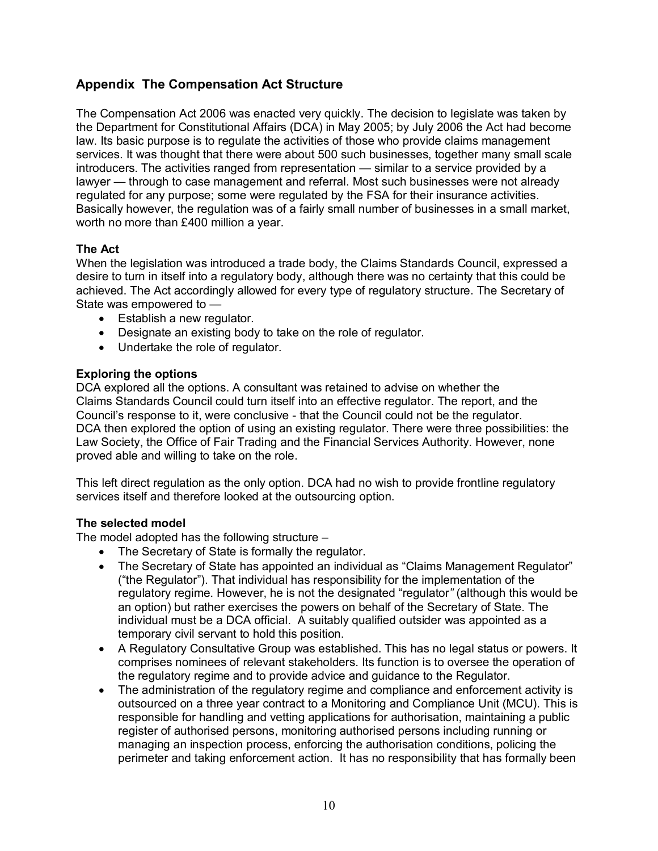## **Appendix The Compensation Act Structure**

The Compensation Act 2006 was enacted very quickly. The decision to legislate was taken by the Department for Constitutional Affairs (DCA) in May 2005; by July 2006 the Act had become law. Its basic purpose is to regulate the activities of those who provide claims management services. It was thought that there were about 500 such businesses, together many small scale introducers. The activities ranged from representation — similar to a service provided by a lawyer — through to case management and referral. Most such businesses were not already regulated for any purpose; some were regulated by the FSA for their insurance activities. Basically however, the regulation was of a fairly small number of businesses in a small market, worth no more than £400 million a year.

### **The Act**

When the legislation was introduced a trade body, the Claims Standards Council, expressed a desire to turn in itself into a regulatory body, although there was no certainty that this could be achieved. The Act accordingly allowed for every type of regulatory structure. The Secretary of State was empowered to —

- · Establish a new regulator.
- · Designate an existing body to take on the role of regulator.
- · Undertake the role of regulator.

### **Exploring the options**

DCA explored all the options. A consultant was retained to advise on whether the Claims Standards Council could turn itself into an effective regulator. The report, and the Council's response to it, were conclusive - that the Council could not be the regulator. DCA then explored the option of using an existing regulator. There were three possibilities: the Law Society, the Office of Fair Trading and the Financial Services Authority. However, none proved able and willing to take on the role.

This left direct regulation as the only option. DCA had no wish to provide frontline regulatory services itself and therefore looked at the outsourcing option.

### **The selected model**

The model adopted has the following structure –

- · The Secretary of State is formally the regulator.
- The Secretary of State has appointed an individual as "Claims Management Regulator" ("the Regulator"). That individual has responsibility for the implementation of the regulatory regime. However, he is not the designated "regulator*"* (although this would be an option) but rather exercises the powers on behalf of the Secretary of State. The individual must be a DCA official. A suitably qualified outsider was appointed as a temporary civil servant to hold this position.
- · A Regulatory Consultative Group was established. This has no legal status or powers. It comprises nominees of relevant stakeholders. Its function is to oversee the operation of the regulatory regime and to provide advice and guidance to the Regulator.
- · The administration of the regulatory regime and compliance and enforcement activity is outsourced on a three year contract to a Monitoring and Compliance Unit (MCU). This is responsible for handling and vetting applications for authorisation, maintaining a public register of authorised persons, monitoring authorised persons including running or managing an inspection process, enforcing the authorisation conditions, policing the perimeter and taking enforcement action. It has no responsibility that has formally been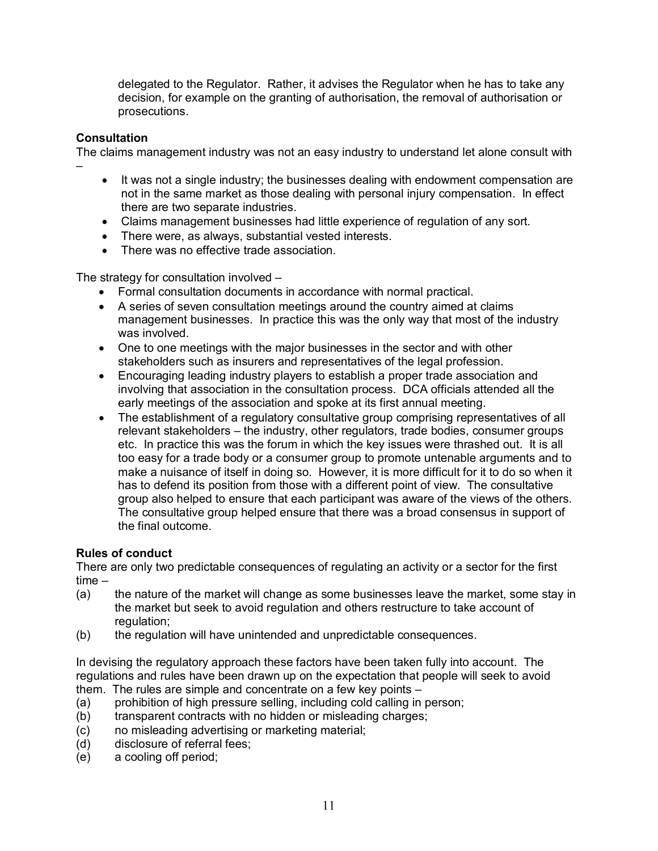delegated to the Regulator. Rather, it advises the Regulator when he has to take any decision, for example on the granting of authorisation, the removal of authorisation or prosecutions.

### **Consultation**

–

The claims management industry was not an easy industry to understand let alone consult with

- It was not a single industry; the businesses dealing with endowment compensation are not in the same market as those dealing with personal injury compensation. In effect there are two separate industries.
- · Claims management businesses had little experience of regulation of any sort.
- · There were, as always, substantial vested interests.
- · There was no effective trade association.

The strategy for consultation involved –

- · Formal consultation documents in accordance with normal practical.
- · A series of seven consultation meetings around the country aimed at claims management businesses. In practice this was the only way that most of the industry was involved.
- · One to one meetings with the major businesses in the sector and with other stakeholders such as insurers and representatives of the legal profession.
- · Encouraging leading industry players to establish a proper trade association and involving that association in the consultation process. DCA officials attended all the early meetings of the association and spoke at its first annual meeting.
- · The establishment of a regulatory consultative group comprising representatives of all relevant stakeholders – the industry, other regulators, trade bodies, consumer groups etc. In practice this was the forum in which the key issues were thrashed out. It is all too easy for a trade body or a consumer group to promote untenable arguments and to make a nuisance of itself in doing so. However, it is more difficult for it to do so when it has to defend its position from those with a different point of view. The consultative group also helped to ensure that each participant was aware of the views of the others. The consultative group helped ensure that there was a broad consensus in support of the final outcome.

### **Rules of conduct**

There are only two predictable consequences of regulating an activity or a sector for the first time –

- (a) the nature of the market will change as some businesses leave the market, some stay in the market but seek to avoid regulation and others restructure to take account of regulation:
- (b) the regulation will have unintended and unpredictable consequences.

In devising the regulatory approach these factors have been taken fully into account. The regulations and rules have been drawn up on the expectation that people will seek to avoid them. The rules are simple and concentrate on a few key points –

- (a) prohibition of high pressure selling, including cold calling in person;
- (b) transparent contracts with no hidden or misleading charges;
- (c) no misleading advertising or marketing material;
- (d) disclosure of referral fees;
- (e) a cooling off period;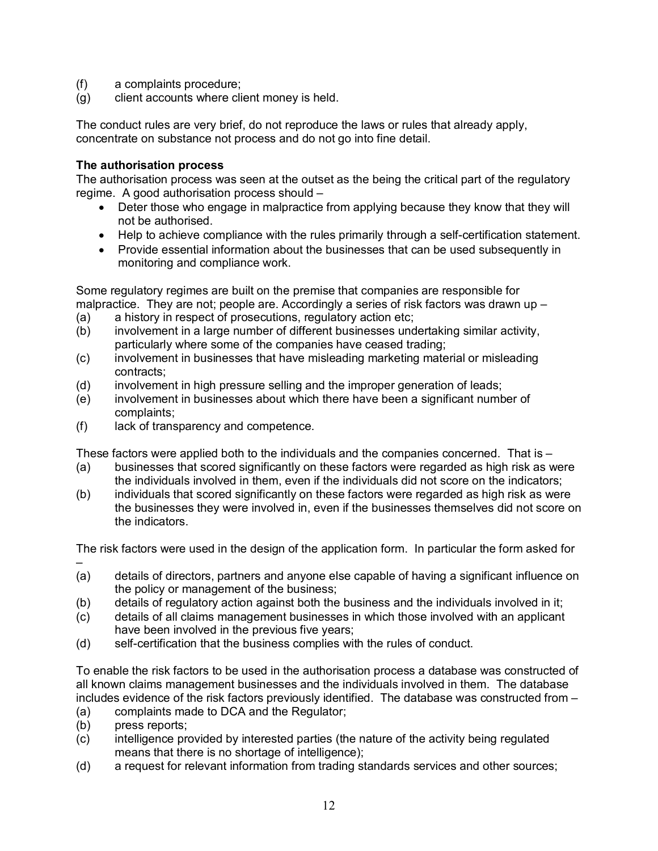- (f) a complaints procedure;
- (g) client accounts where client money is held.

The conduct rules are very brief, do not reproduce the laws or rules that already apply, concentrate on substance not process and do not go into fine detail.

### **The authorisation process**

The authorisation process was seen at the outset as the being the critical part of the regulatory regime. A good authorisation process should –

- · Deter those who engage in malpractice from applying because they know that they will not be authorised.
- · Help to achieve compliance with the rules primarily through a self-certification statement.
- · Provide essential information about the businesses that can be used subsequently in monitoring and compliance work.

Some regulatory regimes are built on the premise that companies are responsible for malpractice. They are not; people are. Accordingly a series of risk factors was drawn up  $-$ 

- (a) a history in respect of prosecutions, regulatory action etc;
- (b) involvement in a large number of different businesses undertaking similar activity, particularly where some of the companies have ceased trading;
- (c) involvement in businesses that have misleading marketing material or misleading contracts;
- (d) involvement in high pressure selling and the improper generation of leads;
- (e) involvement in businesses about which there have been a significant number of complaints;
- (f) lack of transparency and competence.

These factors were applied both to the individuals and the companies concerned. That is –

- (a) businesses that scored significantly on these factors were regarded as high risk as were the individuals involved in them, even if the individuals did not score on the indicators;
- (b) individuals that scored significantly on these factors were regarded as high risk as were the businesses they were involved in, even if the businesses themselves did not score on the indicators.

The risk factors were used in the design of the application form. In particular the form asked for –

- (a) details of directors, partners and anyone else capable of having a significant influence on the policy or management of the business;
- (b) details of regulatory action against both the business and the individuals involved in it;
- (c) details of all claims management businesses in which those involved with an applicant have been involved in the previous five years;
- (d) self-certification that the business complies with the rules of conduct.

To enable the risk factors to be used in the authorisation process a database was constructed of all known claims management businesses and the individuals involved in them. The database includes evidence of the risk factors previously identified. The database was constructed from –

- (a) complaints made to DCA and the Regulator;
- (b) press reports;
- (c) intelligence provided by interested parties (the nature of the activity being regulated means that there is no shortage of intelligence);
- (d) a request for relevant information from trading standards services and other sources;